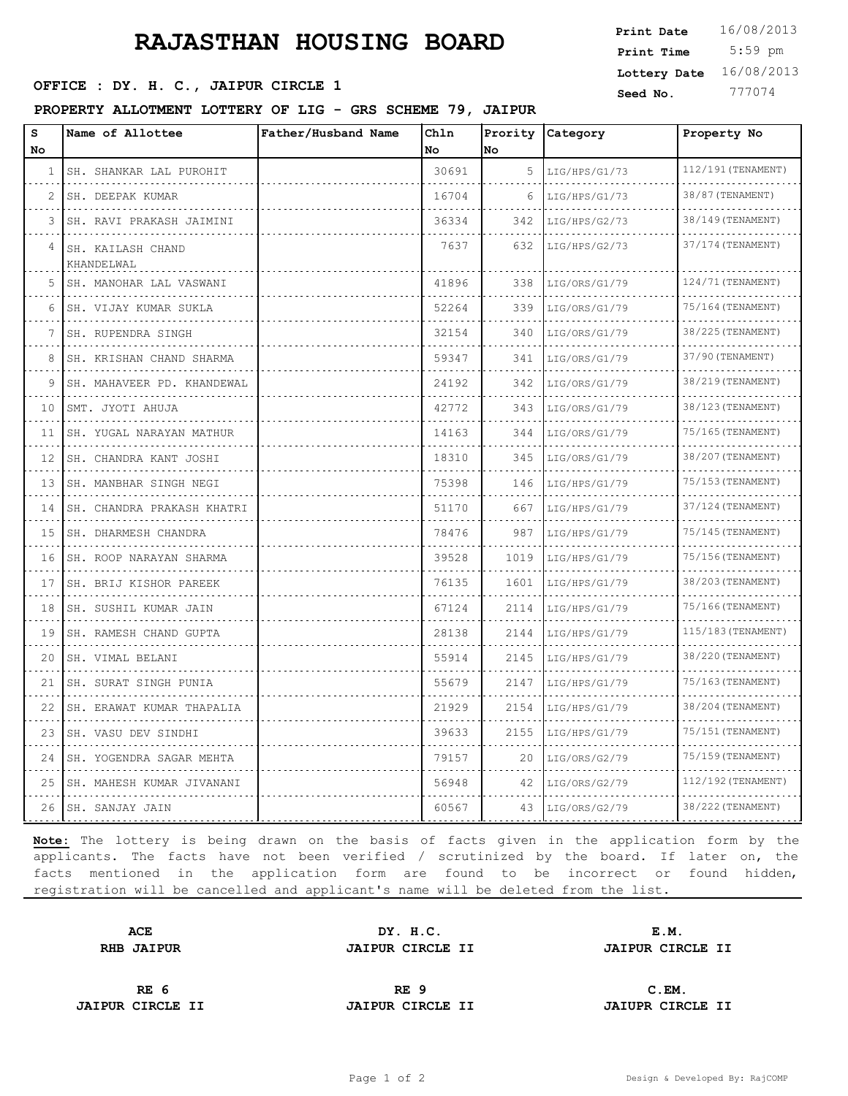## **RAJASTHAN HOUSING BOARD**

## **SERICE : DY. H. C., JAIPUR CIRCLE 1** Seed No. 777074

### **PROPERTY ALLOTMENT LOTTERY OF LIG - GRS SCHEME 79, JAIPUR**

 5:59 pm **Print Time Print Date**  $16/08/2013$ **Lottery Date** 16/08/2013

| S<br>No | Name of Allottee                | Father/Husband Name | Ch1n<br>No | No   | Prority Category | Property No        |
|---------|---------------------------------|---------------------|------------|------|------------------|--------------------|
| 1       | SH. SHANKAR LAL PUROHIT         |                     | 30691      | 5    | LIG/HPS/G1/73    | 112/191 (TENAMENT) |
| 2       | SH. DEEPAK KUMAR                |                     | 16704      | 6    | LIG/HPS/G1/73    | 38/87 (TENAMENT)   |
| 3       | SH. RAVI PRAKASH JAIMINI        |                     | 36334      | 342  | LIG/HPS/G2/73    | 38/149 (TENAMENT)  |
| 4       | SH. KAILASH CHAND<br>KHANDELWAL |                     | 7637       | 632  | LIG/HPS/G2/73    | 37/174 (TENAMENT)  |
| 5       | SH. MANOHAR LAL VASWANI         |                     | 41896      | 338  | LIG/ORS/G1/79    | 124/71 (TENAMENT)  |
| 6       | SH. VIJAY KUMAR SUKLA<br>.      |                     | 52264      | 339  | LIG/ORS/G1/79    | 75/164 (TENAMENT)  |
| 7       | SH. RUPENDRA SINGH              |                     | 32154      | 340  | LIG/ORS/G1/79    | 38/225 (TENAMENT)  |
| 8       | SH. KRISHAN CHAND SHARMA        |                     | 59347      | 341  | LIG/ORS/G1/79    | 37/90 (TENAMENT)   |
| 9       | SH. MAHAVEER PD. KHANDEWAL      |                     | 24192      | 342  | LIG/ORS/G1/79    | 38/219 (TENAMENT)  |
| 10      | SMT. JYOTI AHUJA                |                     | 42772      | 343  | LIG/ORS/G1/79    | 38/123 (TENAMENT)  |
| 11      | SH. YUGAL NARAYAN MATHUR        |                     | 14163      | 344  | LIG/ORS/G1/79    | 75/165 (TENAMENT)  |
| 12      | SH. CHANDRA KANT JOSHI<br>.     |                     | 18310      | 345  | LIG/ORS/G1/79    | 38/207 (TENAMENT)  |
| 13      | SH. MANBHAR SINGH NEGI          |                     | 75398      | 146  | LIG/HPS/G1/79    | 75/153 (TENAMENT)  |
| 14      | SH. CHANDRA PRAKASH KHATRI      |                     | 51170      | 667  | LIG/HPS/G1/79    | 37/124 (TENAMENT)  |
| 15      | SH. DHARMESH CHANDRA<br>.       |                     | 78476      | 987  | LIG/HPS/G1/79    | 75/145 (TENAMENT)  |
| 16      | SH. ROOP NARAYAN SHARMA         |                     | 39528      | 1019 | LIG/HPS/G1/79    | 75/156(TENAMENT)   |
| 17      | SH. BRIJ KISHOR PAREEK          |                     | 76135      | 1601 | LIG/HPS/G1/79    | 38/203 (TENAMENT)  |
| 18      | SH. SUSHIL KUMAR JAIN           |                     | 67124      | 2114 | LIG/HPS/G1/79    | 75/166 (TENAMENT)  |
| 19      | SH. RAMESH CHAND GUPTA          |                     | 28138      | 2144 | LIG/HPS/G1/79    | 115/183 (TENAMENT) |
| 20      | SH. VIMAL BELANI                |                     | 55914      | 2145 | LIG/HPS/G1/79    | 38/220 (TENAMENT)  |
| 21      | SH. SURAT SINGH PUNIA           |                     | 55679      | 2147 | LIG/HPS/G1/79    | 75/163 (TENAMENT)  |
| 22      | SH. ERAWAT KUMAR THAPALIA       |                     | 21929      | 2154 | LIG/HPS/G1/79    | 38/204 (TENAMENT)  |
| 23      | SH. VASU DEV SINDHI             |                     | 39633      | 2155 | LIG/HPS/G1/79    | 75/151 (TENAMENT)  |
| 24      | SH. YOGENDRA SAGAR MEHTA        |                     | 79157      | 20   | LIG/ORS/G2/79    | 75/159 (TENAMENT)  |
| 25      | SH. MAHESH KUMAR JIVANANI       |                     | 56948      | 42   | LIG/ORS/G2/79    | 112/192 (TENAMENT) |
| 26      | SH. SANJAY JAIN                 |                     | 60567      | 43   | LIG/ORS/G2/79    | 38/222 (TENAMENT)  |

**Note:** The lottery is being drawn on the basis of facts given in the application form by the applicants. The facts have not been verified / scrutinized by the board. If later on, the facts mentioned in the application form are found to be incorrect or found hidden, registration will be cancelled and applicant's name will be deleted from the list.

**ACE DY. H.C. E.M. RHB JAIPUR JAIPUR CIRCLE II JAIPUR CIRCLE II**

**JAIPUR CIRCLE II JAIPUR CIRCLE II JAIUPR CIRCLE II**

**RE 6 RE 9 C.EM.**